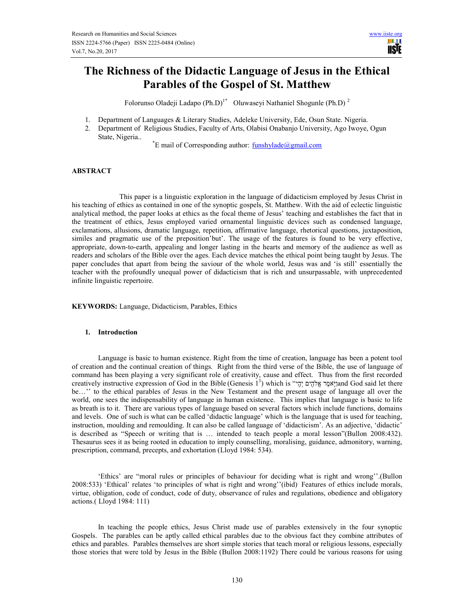# The Richness of the Didactic Language of Jesus in the Ethical Parables of the Gospel of St. Matthew

Folorunso Oladeji Ladapo (Ph.D)<sup>1\*</sup> Oluwaseyi Nathaniel Shogunle (Ph.D)<sup>2</sup>

- 1. Department of Languages & Literary Studies, Adeleke University, Ede, Osun State. Nigeria.
- 2. Department of Religious Studies, Faculty of Arts, Olabisi Onabanjo University, Ago Iwoye, Ogun State, Nigeria..

 $E^*$ E mail of Corresponding author:  $\underline{funshylade}$ @gmail.com

# ABSTRACT

 This paper is a linguistic exploration in the language of didacticism employed by Jesus Christ in his teaching of ethics as contained in one of the synoptic gospels, St. Matthew. With the aid of eclectic linguistic analytical method, the paper looks at ethics as the focal theme of Jesus' teaching and establishes the fact that in the treatment of ethics, Jesus employed varied ornamental linguistic devices such as condensed language, exclamations, allusions, dramatic language, repetition, affirmative language, rhetorical questions, juxtaposition, similes and pragmatic use of the preposition'but'. The usage of the features is found to be very effective, appropriate, down-to-earth, appealing and longer lasting in the hearts and memory of the audience as well as readers and scholars of the Bible over the ages. Each device matches the ethical point being taught by Jesus. The paper concludes that apart from being the saviour of the whole world, Jesus was and 'is still' essentially the teacher with the profoundly unequal power of didacticism that is rich and unsurpassable, with unprecedented infinite linguistic repertoire.

KEYWORDS: Language, Didacticism, Parables, Ethics

# 1. Introduction

Language is basic to human existence. Right from the time of creation, language has been a potent tool of creation and the continual creation of things. Right from the third verse of the Bible, the use of language of command has been playing a very significant role of creativity, cause and effect. Thus from the first recorded creatively instructive expression of God in the Bible (Genesis 1<sup>3</sup>) which is "יָהָים יְהָלהָים יְקָלהִים (God said let there be…'' to the ethical parables of Jesus in the New Testament and the present usage of language all over the world, one sees the indispensability of language in human existence. This implies that language is basic to life as breath is to it. There are various types of language based on several factors which include functions, domains and levels. One of such is what can be called 'didactic language' which is the language that is used for teaching, instruction, moulding and remoulding. It can also be called language of 'didacticism'. As an adjective, 'didactic' is described as "Speech or writing that is … intended to teach people a moral lesson"(Bullon 2008:432). Thesaurus sees it as being rooted in education to imply counselling, moralising, guidance, admonitory, warning, prescription, command, precepts, and exhortation (Lloyd 1984: 534).

'Ethics' are "moral rules or principles of behaviour for deciding what is right and wrong''.(Bullon 2008:533) 'Ethical' relates 'to principles of what is right and wrong''(ibid). Features of ethics include morals, virtue, obligation, code of conduct, code of duty, observance of rules and regulations, obedience and obligatory actions.( Lloyd 1984: 111)

In teaching the people ethics, Jesus Christ made use of parables extensively in the four synoptic Gospels. The parables can be aptly called ethical parables due to the obvious fact they combine attributes of ethics and parables. Parables themselves are short simple stories that teach moral or religious lessons, especially those stories that were told by Jesus in the Bible (Bullon 2008:1192). There could be various reasons for using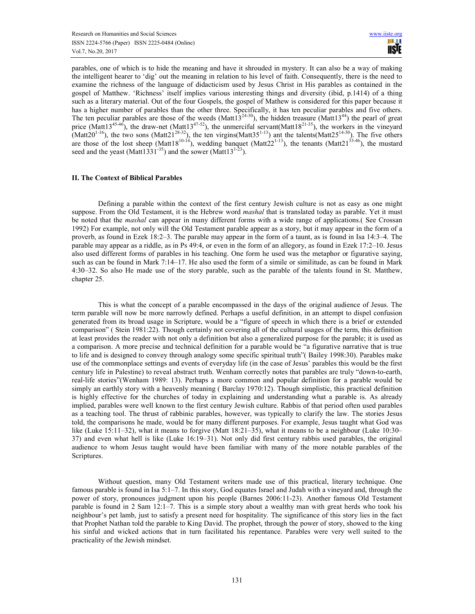parables, one of which is to hide the meaning and have it shrouded in mystery. It can also be a way of making the intelligent hearer to 'dig' out the meaning in relation to his level of faith. Consequently, there is the need to examine the richness of the language of didacticism used by Jesus Christ in His parables as contained in the gospel of Matthew. 'Richness' itself implies various interesting things and diversity (ibid, p.1414) of a thing such as a literary material. Out of the four Gospels, the gospel of Mathew is considered for this paper because it has a higher number of parables than the other three. Specifically, it has ten peculiar parables and five others. The ten peculiar parables are those of the weeds (Matt $13^{24-30}$ ), the hidden treasure (Matt $13^{44}$ ) the pearl of great price (Matt13<sup>45-46</sup>), the draw-net (Matt13<sup>47-52</sup>), the unmerciful servant(Matt18<sup>21-35</sup>), the workers in the vineyard (Matt20<sup>1-16</sup>), the two sons (Matt21<sup>28-32</sup>), the ten virgins(Matt35<sup>1-13</sup>) ant the talents(Matt25<sup>14-30</sup>). The five others are those of the lost sheep (Matt18<sup>10-14</sup>), wedding banquet (Matt22<sup>1-13</sup>), the tenants (Matt21<sup>33-46</sup>), the mustard seed and the yeast (Matt1331<sup>-35</sup>) and the sower (Matt13<sup>1-23</sup>).

#### II. The Context of Biblical Parables

Defining a parable within the context of the first century Jewish culture is not as easy as one might suppose. From the Old Testament, it is the Hebrew word *mashal* that is translated today as parable. Yet it must be noted that the *mashal* can appear in many different forms with a wide range of applications. (See Crossan 1992) For example, not only will the Old Testament parable appear as a story, but it may appear in the form of a proverb, as found in Ezek 18:2–3. The parable may appear in the form of a taunt, as is found in Isa 14:3–4. The parable may appear as a riddle, as in Ps 49:4, or even in the form of an allegory, as found in Ezek 17:2–10. Jesus also used different forms of parables in his teaching. One form he used was the metaphor or figurative saying, such as can be found in Mark 7:14–17. He also used the form of a simile or similitude, as can be found in Mark 4:30–32. So also He made use of the story parable, such as the parable of the talents found in St. Matthew, chapter 25.

This is what the concept of a parable encompassed in the days of the original audience of Jesus. The term parable will now be more narrowly defined. Perhaps a useful definition, in an attempt to dispel confusion generated from its broad usage in Scripture, would be a "figure of speech in which there is a brief or extended comparison" ( Stein 1981:22). Though certainly not covering all of the cultural usages of the term, this definition at least provides the reader with not only a definition but also a generalized purpose for the parable; it is used as a comparison. A more precise and technical definition for a parable would be "a figurative narrative that is true to life and is designed to convey through analogy some specific spiritual truth"( Bailey 1998:30). Parables make use of the commonplace settings and events of everyday life (in the case of Jesus' parables this would be the first century life in Palestine) to reveal abstract truth. Wenham correctly notes that parables are truly "down-to-earth, real-life stories"(Wenham 1989: 13). Perhaps a more common and popular definition for a parable would be simply an earthly story with a heavenly meaning (Barclay 1970:12). Though simplistic, this practical definition is highly effective for the churches of today in explaining and understanding what a parable is. As already implied, parables were well known to the first century Jewish culture. Rabbis of that period often used parables as a teaching tool. The thrust of rabbinic parables, however, was typically to clarify the law. The stories Jesus told, the comparisons he made, would be for many different purposes. For example, Jesus taught what God was like (Luke 15:11–32), what it means to forgive (Matt 18:21–35), what it means to be a neighbour (Luke 10:30– 37) and even what hell is like (Luke 16:19–31). Not only did first century rabbis used parables, the original audience to whom Jesus taught would have been familiar with many of the more notable parables of the Scriptures.

Without question, many Old Testament writers made use of this practical, literary technique. One famous parable is found in Isa 5:1–7. In this story, God equates Israel and Judah with a vineyard and, through the power of story, pronounces judgment upon his people (Barnes 2006:11-23). Another famous Old Testament parable is found in 2 Sam 12:1–7. This is a simple story about a wealthy man with great herds who took his neighbour's pet lamb, just to satisfy a present need for hospitality. The significance of this story lies in the fact that Prophet Nathan told the parable to King David. The prophet, through the power of story, showed to the king his sinful and wicked actions that in turn facilitated his repentance. Parables were very well suited to the practicality of the Jewish mindset.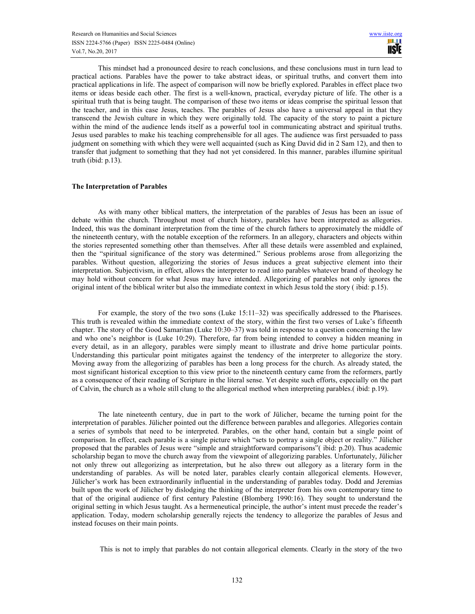This mindset had a pronounced desire to reach conclusions, and these conclusions must in turn lead to practical actions. Parables have the power to take abstract ideas, or spiritual truths, and convert them into practical applications in life. The aspect of comparison will now be briefly explored. Parables in effect place two items or ideas beside each other. The first is a well-known, practical, everyday picture of life. The other is a spiritual truth that is being taught. The comparison of these two items or ideas comprise the spiritual lesson that the teacher, and in this case Jesus, teaches. The parables of Jesus also have a universal appeal in that they transcend the Jewish culture in which they were originally told. The capacity of the story to paint a picture within the mind of the audience lends itself as a powerful tool in communicating abstract and spiritual truths. Jesus used parables to make his teaching comprehensible for all ages. The audience was first persuaded to pass judgment on something with which they were well acquainted (such as King David did in 2 Sam 12), and then to transfer that judgment to something that they had not yet considered. In this manner, parables illumine spiritual truth (ibid: p.13).

#### The Interpretation of Parables

 As with many other biblical matters, the interpretation of the parables of Jesus has been an issue of debate within the church. Throughout most of church history, parables have been interpreted as allegories. Indeed, this was the dominant interpretation from the time of the church fathers to approximately the middle of the nineteenth century, with the notable exception of the reformers. In an allegory, characters and objects within the stories represented something other than themselves. After all these details were assembled and explained, then the "spiritual significance of the story was determined." Serious problems arose from allegorizing the parables. Without question, allegorizing the stories of Jesus induces a great subjective element into their interpretation. Subjectivism, in effect, allows the interpreter to read into parables whatever brand of theology he may hold without concern for what Jesus may have intended. Allegorizing of parables not only ignores the original intent of the biblical writer but also the immediate context in which Jesus told the story ( ibid: p.15).

For example, the story of the two sons (Luke 15:11–32) was specifically addressed to the Pharisees. This truth is revealed within the immediate context of the story, within the first two verses of Luke's fifteenth chapter. The story of the Good Samaritan (Luke 10:30–37) was told in response to a question concerning the law and who one's neighbor is (Luke 10:29). Therefore, far from being intended to convey a hidden meaning in every detail, as in an allegory, parables were simply meant to illustrate and drive home particular points. Understanding this particular point mitigates against the tendency of the interpreter to allegorize the story. Moving away from the allegorizing of parables has been a long process for the church. As already stated, the most significant historical exception to this view prior to the nineteenth century came from the reformers, partly as a consequence of their reading of Scripture in the literal sense. Yet despite such efforts, especially on the part of Calvin, the church as a whole still clung to the allegorical method when interpreting parables.( ibid: p.19).

The late nineteenth century, due in part to the work of Jülicher, became the turning point for the interpretation of parables. Jülicher pointed out the difference between parables and allegories. Allegories contain a series of symbols that need to be interpreted. Parables, on the other hand, contain but a single point of comparison. In effect, each parable is a single picture which "sets to portray a single object or reality." Jülicher proposed that the parables of Jesus were "simple and straightforward comparisons"( ibid: p.20). Thus academic scholarship began to move the church away from the viewpoint of allegorizing parables. Unfortunately, Jülicher not only threw out allegorizing as interpretation, but he also threw out allegory as a literary form in the understanding of parables. As will be noted later, parables clearly contain allegorical elements. However, Jülicher's work has been extraordinarily influential in the understanding of parables today. Dodd and Jeremias built upon the work of Jülicher by dislodging the thinking of the interpreter from his own contemporary time to that of the original audience of first century Palestine (Blomberg 1990:16). They sought to understand the original setting in which Jesus taught. As a hermeneutical principle, the author's intent must precede the reader's application. Today, modern scholarship generally rejects the tendency to allegorize the parables of Jesus and instead focuses on their main points.

This is not to imply that parables do not contain allegorical elements. Clearly in the story of the two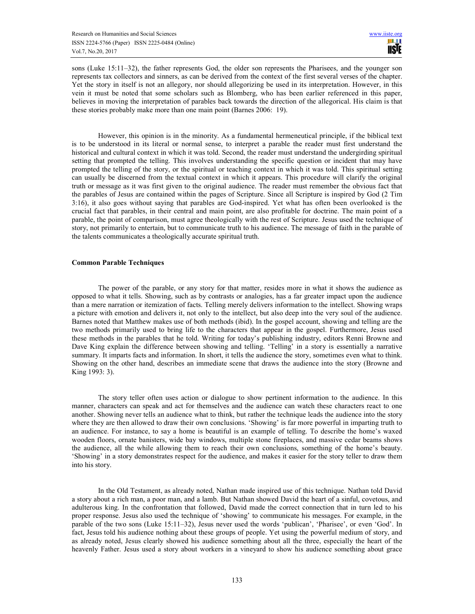sons (Luke 15:11–32), the father represents God, the older son represents the Pharisees, and the younger son represents tax collectors and sinners, as can be derived from the context of the first several verses of the chapter. Yet the story in itself is not an allegory, nor should allegorizing be used in its interpretation. However, in this vein it must be noted that some scholars such as Blomberg, who has been earlier referenced in this paper, believes in moving the interpretation of parables back towards the direction of the allegorical. His claim is that these stories probably make more than one main point (Barnes 2006: 19).

However, this opinion is in the minority. As a fundamental hermeneutical principle, if the biblical text is to be understood in its literal or normal sense, to interpret a parable the reader must first understand the historical and cultural context in which it was told. Second, the reader must understand the undergirding spiritual setting that prompted the telling. This involves understanding the specific question or incident that may have prompted the telling of the story, or the spiritual or teaching context in which it was told. This spiritual setting can usually be discerned from the textual context in which it appears. This procedure will clarify the original truth or message as it was first given to the original audience. The reader must remember the obvious fact that the parables of Jesus are contained within the pages of Scripture. Since all Scripture is inspired by God (2 Tim 3:16), it also goes without saying that parables are God-inspired. Yet what has often been overlooked is the crucial fact that parables, in their central and main point, are also profitable for doctrine. The main point of a parable, the point of comparison, must agree theologically with the rest of Scripture. Jesus used the technique of story, not primarily to entertain, but to communicate truth to his audience. The message of faith in the parable of the talents communicates a theologically accurate spiritual truth.

### Common Parable Techniques

The power of the parable, or any story for that matter, resides more in what it shows the audience as opposed to what it tells. Showing, such as by contrasts or analogies, has a far greater impact upon the audience than a mere narration or itemization of facts. Telling merely delivers information to the intellect. Showing wraps a picture with emotion and delivers it, not only to the intellect, but also deep into the very soul of the audience. Barnes noted that Matthew makes use of both methods (ibid). In the gospel account, showing and telling are the two methods primarily used to bring life to the characters that appear in the gospel. Furthermore, Jesus used these methods in the parables that he told. Writing for today's publishing industry, editors Renni Browne and Dave King explain the difference between showing and telling. 'Telling' in a story is essentially a narrative summary. It imparts facts and information. In short, it tells the audience the story, sometimes even what to think. Showing on the other hand, describes an immediate scene that draws the audience into the story (Browne and King 1993: 3).

The story teller often uses action or dialogue to show pertinent information to the audience. In this manner, characters can speak and act for themselves and the audience can watch these characters react to one another. Showing never tells an audience what to think, but rather the technique leads the audience into the story where they are then allowed to draw their own conclusions. 'Showing' is far more powerful in imparting truth to an audience. For instance, to say a home is beautiful is an example of telling. To describe the home's waxed wooden floors, ornate banisters, wide bay windows, multiple stone fireplaces, and massive cedar beams shows the audience, all the while allowing them to reach their own conclusions, something of the home's beauty. 'Showing' in a story demonstrates respect for the audience, and makes it easier for the story teller to draw them into his story.

In the Old Testament, as already noted, Nathan made inspired use of this technique. Nathan told David a story about a rich man, a poor man, and a lamb. But Nathan showed David the heart of a sinful, covetous, and adulterous king. In the confrontation that followed, David made the correct connection that in turn led to his proper response. Jesus also used the technique of 'showing' to communicate his messages. For example, in the parable of the two sons (Luke 15:11–32), Jesus never used the words 'publican', 'Pharisee', or even 'God'. In fact, Jesus told his audience nothing about these groups of people. Yet using the powerful medium of story, and as already noted, Jesus clearly showed his audience something about all the three, especially the heart of the heavenly Father. Jesus used a story about workers in a vineyard to show his audience something about grace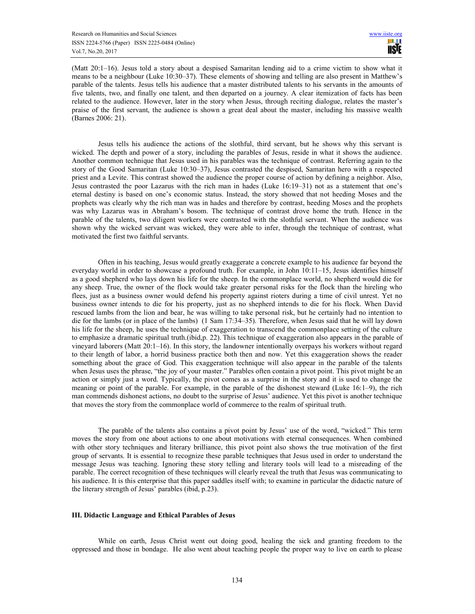(Matt 20:1–16). Jesus told a story about a despised Samaritan lending aid to a crime victim to show what it means to be a neighbour (Luke 10:30–37). These elements of showing and telling are also present in Matthew's parable of the talents. Jesus tells his audience that a master distributed talents to his servants in the amounts of five talents, two, and finally one talent, and then departed on a journey. A clear itemization of facts has been related to the audience. However, later in the story when Jesus, through reciting dialogue, relates the master's praise of the first servant, the audience is shown a great deal about the master, including his massive wealth (Barnes 2006: 21).

Jesus tells his audience the actions of the slothful, third servant, but he shows why this servant is wicked. The depth and power of a story, including the parables of Jesus, reside in what it shows the audience. Another common technique that Jesus used in his parables was the technique of contrast. Referring again to the story of the Good Samaritan (Luke 10:30–37), Jesus contrasted the despised, Samaritan hero with a respected priest and a Levite. This contrast showed the audience the proper course of action by defining a neighbor. Also, Jesus contrasted the poor Lazarus with the rich man in hades (Luke 16:19–31) not as a statement that one's eternal destiny is based on one's economic status. Instead, the story showed that not heeding Moses and the prophets was clearly why the rich man was in hades and therefore by contrast, heeding Moses and the prophets was why Lazarus was in Abraham's bosom. The technique of contrast drove home the truth. Hence in the parable of the talents, two diligent workers were contrasted with the slothful servant. When the audience was shown why the wicked servant was wicked, they were able to infer, through the technique of contrast, what motivated the first two faithful servants.

Often in his teaching, Jesus would greatly exaggerate a concrete example to his audience far beyond the everyday world in order to showcase a profound truth. For example, in John 10:11–15, Jesus identifies himself as a good shepherd who lays down his life for the sheep. In the commonplace world, no shepherd would die for any sheep. True, the owner of the flock would take greater personal risks for the flock than the hireling who flees, just as a business owner would defend his property against rioters during a time of civil unrest. Yet no business owner intends to die for his property, just as no shepherd intends to die for his flock. When David rescued lambs from the lion and bear, he was willing to take personal risk, but he certainly had no intention to die for the lambs (or in place of the lambs) (1 Sam 17:34–35). Therefore, when Jesus said that he will lay down his life for the sheep, he uses the technique of exaggeration to transcend the commonplace setting of the culture to emphasize a dramatic spiritual truth.(ibid,p. 22). This technique of exaggeration also appears in the parable of vineyard laborers (Matt 20:1–16). In this story, the landowner intentionally overpays his workers without regard to their length of labor, a horrid business practice both then and now. Yet this exaggeration shows the reader something about the grace of God. This exaggeration technique will also appear in the parable of the talents when Jesus uses the phrase, "the joy of your master." Parables often contain a pivot point. This pivot might be an action or simply just a word. Typically, the pivot comes as a surprise in the story and it is used to change the meaning or point of the parable. For example, in the parable of the dishonest steward (Luke 16:1–9), the rich man commends dishonest actions, no doubt to the surprise of Jesus' audience. Yet this pivot is another technique that moves the story from the commonplace world of commerce to the realm of spiritual truth.

The parable of the talents also contains a pivot point by Jesus' use of the word, "wicked." This term moves the story from one about actions to one about motivations with eternal consequences. When combined with other story techniques and literary brilliance, this pivot point also shows the true motivation of the first group of servants. It is essential to recognize these parable techniques that Jesus used in order to understand the message Jesus was teaching. Ignoring these story telling and literary tools will lead to a misreading of the parable. The correct recognition of these techniques will clearly reveal the truth that Jesus was communicating to his audience. It is this enterprise that this paper saddles itself with; to examine in particular the didactic nature of the literary strength of Jesus' parables (ibid, p.23).

#### III. Didactic Language and Ethical Parables of Jesus

While on earth, Jesus Christ went out doing good, healing the sick and granting freedom to the oppressed and those in bondage. He also went about teaching people the proper way to live on earth to please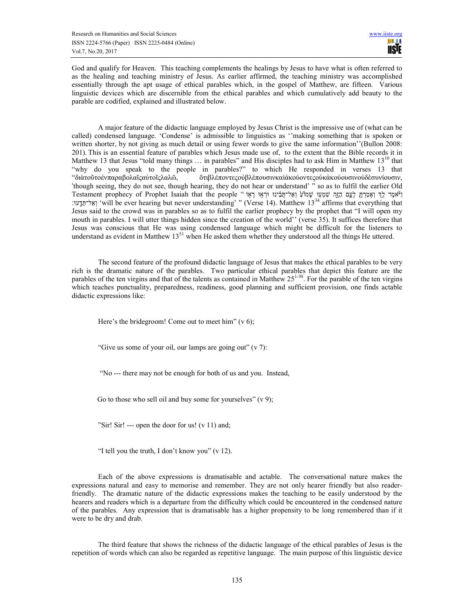God and qualify for Heaven. This teaching complements the healings by Jesus to have what is often referred to as the healing and teaching ministry of Jesus. As earlier affirmed, the teaching ministry was accomplished essentially through the apt usage of ethical parables which, in the gospel of Matthew, are fifteen. Various linguistic devices which are discernible from the ethical parables and which cumulatively add beauty to the parable are codified, explained and illustrated below.

A major feature of the didactic language employed by Jesus Christ is the impressive use of (what can be called) condensed language. 'Condense' is admissible to linguistics as ''making something that is spoken or written shorter, by not giving as much detail or using fewer words to give the same information''(Bullon 2008: 201). This is an essential feature of parables which Jesus made use of, to the extent that the Bible records it in Matthew 13 that Jesus "told many things ... in parables" and His disciples had to ask Him in Matthew 13<sup>10</sup> that "why do you speak to the people in parables?" to which He responded in verses 13 that "διὰτοῦτοἐνπαραβολαῖςαὐτοῖςλαλῶ, ὅτιβλέποντεςοὐβλέπουσινκαὶἀκούοντεςοὐκἀκούουσινοὐδὲσυνίουσιν, 'though seeing, they do not see, though hearing, they do not hear or understand' " so as to fulfil the earlier Old Testament prophecy of Prophet Isaiah that the people "וֹאמֶר כָּאוֹ שׁמִעוּ שְׁמִעּוּ עֲלוֹ וַאל־תָּבִ֫ינוּ וּרְאֶוּ רָאוֹ " petament prophecy of Prophet Isaiah that the people " רְא יִאל־הַדֵּעוּ: 'will be ever hearing but never understanding' " (Verse 14). Matthew 13<sup>34</sup> affirms that everything that Jesus said to the crowd was in parables so as to fulfil the earlier prophecy by the prophet that "I will open my mouth in parables. I will utter things hidden since the creation of the world'' (verse 35). It suffices therefore that Jesus was conscious that He was using condensed language which might be difficult for the listeners to understand as evident in Matthew 13<sup>51</sup> when He asked them whether they understood all the things He uttered.

The second feature of the profound didactic language of Jesus that makes the ethical parables to be very rich is the dramatic nature of the parables. Two particular ethical parables that depict this feature are the parables of the ten virgins and that of the talents as contained in Matthew  $25^{1-30}$ . For the parable of the ten virgins which teaches punctuality, preparedness, readiness, good planning and sufficient provision, one finds actable didactic expressions like:

Here's the bridegroom! Come out to meet him"  $(v 6)$ ;

"Give us some of your oil, our lamps are going out" (v 7):

"No --- there may not be enough for both of us and you. Instead,

Go to those who sell oil and buy some for yourselves"  $(v 9)$ ;

"Sir! Sir! --- open the door for us!  $(v 11)$  and;

"I tell you the truth, I don't know you" (v 12).

Each of the above expressions is dramatisable and actable. The conversational nature makes the expressions natural and easy to memorise and remember. They are not only hearer friendly but also readerfriendly. The dramatic nature of the didactic expressions makes the teaching to be easily understood by the hearers and readers which is a departure from the difficulty which could be encountered in the condensed nature of the parables. Any expression that is dramatisable has a higher propensity to be long remembered than if it were to be dry and drab.

The third feature that shows the richness of the didactic language of the ethical parables of Jesus is the repetition of words which can also be regarded as repetitive language. The main purpose of this linguistic device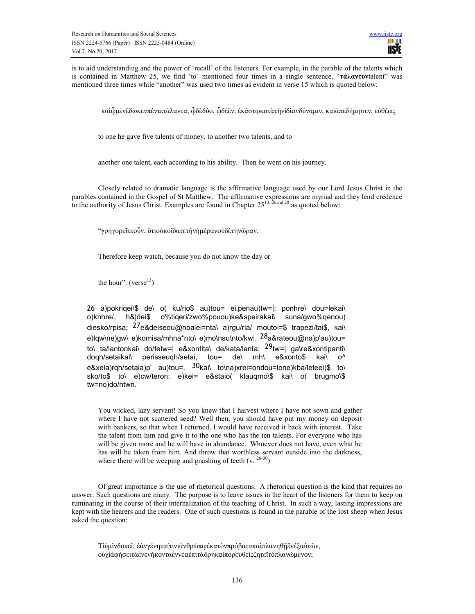is to aid understanding and the power of 'recall' of the listeners. For example, in the parable of the talents which is contained in Matthew 25, we find 'to' mentioned four times in a single sentence, "τάλαντονtalent" was mentioned three times while "another" was used two times as evident in verse 15 which is quoted below:

καὶὧμὲνἕδωκενπέντετάλαντα, ὦδὲδύο, ὦδὲἕν, ἐκάστωκατὰτὴνὶδίανδύναμιν, καὶἀπεδήμησεν. εὐθέως

to one he gave five talents of money, to another two talents, and to

another one talent, each according to his ability. Then he went on his journey.

Closely related to dramatic language is the affirmative language used by our Lord Jesus Christ in the parables contained in the Gospel of St Matthew. The affirmative expressions are myriad and they lend credence to the authority of Jesus Christ. Examples are found in Chapter 25<sup>13, 26and 28</sup> as quoted below:

"γρηγορεῖτεοὖν, ὅτιοὐκοἴδατετὴνἡμέρανοὐδὲτὴνὥραν.

Therefore keep watch, because you do not know the day or

the hour". (verse $^{13}$ )

26 a)pokriqei\\$ de\ o( ku/rio\$ au)tou= ei,penau)tw=|: ponhre\ dou=lekai\ o)knhre/, h&|dei\$ o%tiqeri/zwo%pouou)ke&speirakai\ suna/gwo%qenou) diesko/rpisa; <sup>27</sup>e&deiseou@nbalei=nta\ a)rgu/ria/ moutoi=\$ trapezi/tai\$, kai\ e)lqw\ne)gw\ e)komisa/mhna\*nto\ e)mo\nsu\nto/kw|. 28a&rateou@na)p'au)tou= to\ ta/lantonkai\ do/tetw=| e&xontita\ de/kata/lanta: 29tw=| ga\re&xontipanti\ doqh/setaikai\ perisseuqh/setai, tou= de\ mh\ e&xonto\$ kai\ o^ e&xeia)rqh/setaia)p' au)tou=. <sup>30</sup>kai\ to\na)xrei=ondou=lone)kba/leteei)\$ to\ sko/to\$ to\ e)cw/teron: e)kei= e&staio( klauqmo\\$ kai\ o( brugmo\\$ tw=no)do/ntwn.

You wicked, lazy servant! So you knew that I harvest where I have not sown and gather where I have not scattered seed? Well then, you should have put my money on deposit with bankers, so that when I returned, I would have received it back with interest. Take the talent from him and give it to the one who has the ten talents. For everyone who has will be given more and he will have in abundance. Whoever does not have, even what he has will be taken from him. And throw that worthless servant outside into the darkness, where there will be weeping and gnashing of teeth  $(v, \frac{26-30}{s})$ 

Of great importance is the use of rhetorical questions. A rhetorical question is the kind that requires no answer. Such questions are many. The purpose is to leave issues in the heart of the listeners for them to keep on ruminating in the course of their internalization of the teaching of Christ. In such a way, lasting impressions are kept with the hearers and the readers. One of such questions is found in the parable of the lost sheep when Jesus asked the question:

Τίὑμῖνδοκεῖ; ἐὰνγένηταίτινιἀνθρώπῳἑκατὸνπρόβατακαὶπλανηθῇἓνἐξαὐτῶν, οὐχὶἀφήσειτὰἐνενήκονταἐννέαἐπὶτὰὄρηκαὶπορευθεὶςζητεῖτὸπλανώμενον;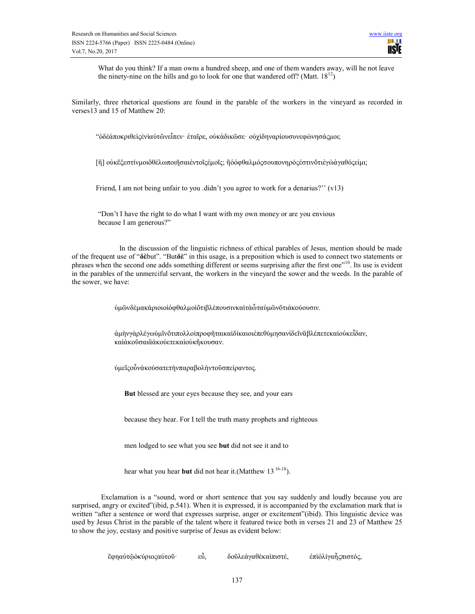What do you think? If a man owns a hundred sheep, and one of them wanders away, will he not leave the ninety-nine on the hills and go to look for one that wandered off? (Matt.  $18^{12}$ )

Similarly, three rhetorical questions are found in the parable of the workers in the vineyard as recorded in verses13 and 15 of Matthew 20:

"ὁδὲἀποκριθεὶςἑνὶαὐτῶνεἶπεν· ἑταῖρε, οὐκἀδικῶσε· οὐχὶδηναρίουσυνεφώνησάςμοι;

[ἢ] οὐκἔξεστίνμοιὃθέλωποιῆσαιἐντοῖςἐμοῖς; ἢὁὀφθαλμόςσουπονηρόςἐστινὅτιἐγὼἀγαθόςεἰμι;

Friend, I am not being unfair to you .didn't you agree to work for a denarius?" (v13)

"Don't I have the right to do what I want with my own money or are you envious because I am generous?"

 In the discussion of the linguistic richness of ethical parables of Jesus, mention should be made of the frequent use of "δὲbut". "Butδὲ" in this usage, is a preposition which is used to connect two statements or phrases when the second one adds something different or seems surprising after the first one"<sup>10</sup>. Its use is evident in the parables of the unmerciful servant, the workers in the vineyard the sower and the weeds. In the parable of the sower, we have:

ὑμῶνδὲμακάριοιοἱὀφθαλμοὶὅτιβλέπουσινκαὶτὰὦταὑμῶνὅτιἀκούουσιν.

ἀμὴνγὰρλέγωὑμῖνὅτιπολλοὶπροφῆταικαὶδίκαιοιἐπεθύμησανἰδεῖνἃβλέπετεκαὶοὐκεἶδαν, καὶἀκοῦσαιἃἀκούετεκαὶοὐκἤκουσαν.

ὑμεῖςοὖνἀκούσατετὴνπαραβολὴντοῦσπείραντος.

But blessed are your eyes because they see, and your ears

because they hear. For I tell the truth many prophets and righteous

men lodged to see what you see but did not see it and to

hear what you hear **but** did not hear it. (Matthew  $13^{16-18}$ ).

 Exclamation is a "sound, word or short sentence that you say suddenly and loudly because you are surprised, angry or excited"(ibid, p.541). When it is expressed, it is accompanied by the exclamation mark that is written "after a sentence or word that expresses surprise, anger or excitement"(ibid). This linguistic device was used by Jesus Christ in the parable of the talent where it featured twice both in verses 21 and 23 of Matthew 25 to show the joy, ecstasy and positive surprise of Jesus as evident below:

ἔφηαὐτῷὁκύριοςαὐτοῦ· εὖ, δοῦλεἀγαθὲκαὶπιστέ, ἐπὶὀλίγαἦςπιστός,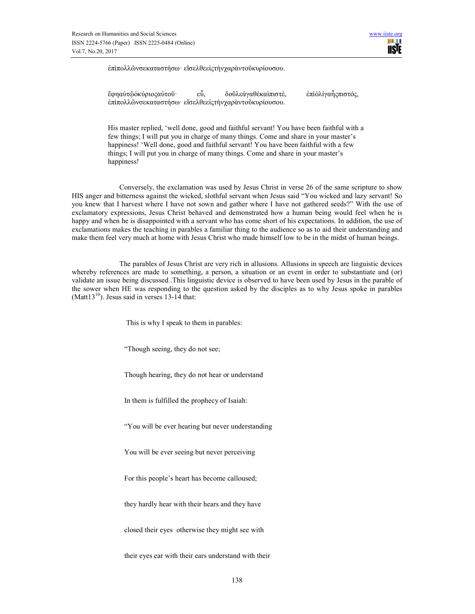

ἐπὶπολλῶνσεκαταστήσω· εἴσελθεεἰςτὴνχαρὰντοῦκυρίουσου.

ἔφηαὐτῷὁκύριοςαὐτοῦ· εὖ, δοῦλεἀγαθὲκαὶπιστέ, ἐπὶὀλίγαἦςπιστός, ἐπὶπολλῶνσεκαταστήσω· εἴσελθεεἰςτὴνχαρὰντοῦκυρίουσου.

His master replied, 'well done, good and faithful servant! You have been faithful with a few things; I will put you in charge of many things. Come and share in your master's happiness! 'Well done, good and faithful servant! You have been faithful with a few things; I will put you in charge of many things. Come and share in your master's happiness!

 Conversely, the exclamation was used by Jesus Christ in verse 26 of the same scripture to show HIS anger and bitterness against the wicked, slothful servant when Jesus said "You wicked and lazy servant! So you knew that I harvest where I have not sown and gather where I have not gathered seeds?" With the use of exclamatory expressions, Jesus Christ behaved and demonstrated how a human being would feel when he is happy and when he is disappointed with a servant who has come short of his expectations. In addition, the use of exclamations makes the teaching in parables a familiar thing to the audience so as to aid their understanding and make them feel very much at home with Jesus Christ who made himself low to be in the midst of human beings.

 The parables of Jesus Christ are very rich in allusions. Allusions in speech are linguistic devices whereby references are made to something, a person, a situation or an event in order to substantiate and (or) validate an issue being discussed .This linguistic device is observed to have been used by Jesus in the parable of the sower when HE was responding to the question asked by the disciples as to why Jesus spoke in parables (Matt $13^{10}$ ). Jesus said in verses 13-14 that:

This is why I speak to them in parables:

"Though seeing, they do not see;

Though hearing, they do not hear or understand

In them is fulfilled the prophecy of Isaiah:

"You will be ever hearing but never understanding

You will be ever seeing but never perceiving

For this people's heart has become calloused;

they hardly hear with their hears and they have

closed their eyes otherwise they might see with

their eyes ear with their ears understand with their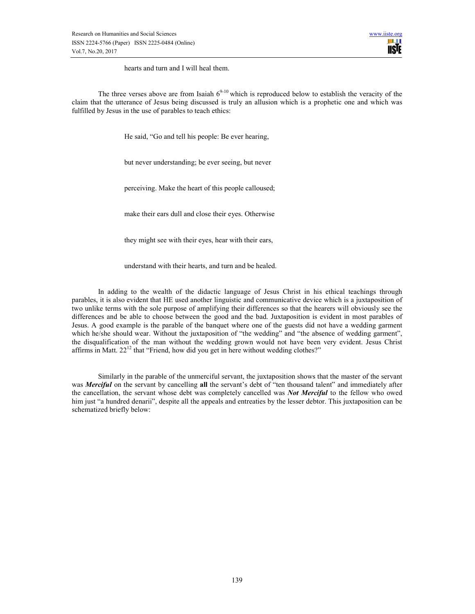hearts and turn and I will heal them.

The three verses above are from Isaiah  $6^{9-10}$  which is reproduced below to establish the veracity of the claim that the utterance of Jesus being discussed is truly an allusion which is a prophetic one and which was fulfilled by Jesus in the use of parables to teach ethics:

He said, "Go and tell his people: Be ever hearing,

but never understanding; be ever seeing, but never

perceiving. Make the heart of this people calloused;

make their ears dull and close their eyes. Otherwise

they might see with their eyes, hear with their ears,

understand with their hearts, and turn and be healed.

In adding to the wealth of the didactic language of Jesus Christ in his ethical teachings through parables, it is also evident that HE used another linguistic and communicative device which is a juxtaposition of two unlike terms with the sole purpose of amplifying their differences so that the hearers will obviously see the differences and be able to choose between the good and the bad. Juxtaposition is evident in most parables of Jesus. A good example is the parable of the banquet where one of the guests did not have a wedding garment which he/she should wear. Without the juxtaposition of "the wedding" and "the absence of wedding garment", the disqualification of the man without the wedding grown would not have been very evident. Jesus Christ affirms in Matt. 22<sup>12</sup> that "Friend, how did you get in here without wedding clothes?"

Similarly in the parable of the unmerciful servant, the juxtaposition shows that the master of the servant was Merciful on the servant by cancelling all the servant's debt of "ten thousand talent" and immediately after the cancellation, the servant whose debt was completely cancelled was **Not Merciful** to the fellow who owed him just "a hundred denarii", despite all the appeals and entreaties by the lesser debtor. This juxtaposition can be schematized briefly below: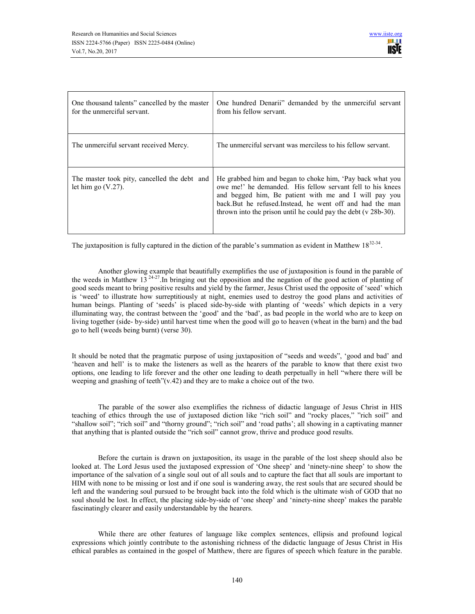| One thousand talents" cancelled by the master<br>for the unmerciful servant. | One hundred Denarii" demanded by the unmerciful servant<br>from his fellow servant.                                                                                                                                                                                                                                 |
|------------------------------------------------------------------------------|---------------------------------------------------------------------------------------------------------------------------------------------------------------------------------------------------------------------------------------------------------------------------------------------------------------------|
| The unmerciful servant received Mercy.                                       | The unmerciful servant was merciless to his fellow servant.                                                                                                                                                                                                                                                         |
| The master took pity, cancelled the debt and<br>let him go $(V.27)$ .        | He grabbed him and began to choke him, 'Pay back what you<br>owe me!' he demanded. His fellow servant fell to his knees<br>and begged him, Be patient with me and I will pay you<br>back. But he refused. Instead, he went off and had the man<br>thrown into the prison until he could pay the debt $(v 28b-30)$ . |

The juxtaposition is fully captured in the diction of the parable's summation as evident in Matthew  $18^{32.34}$ .

Another glowing example that beautifully exemplifies the use of juxtaposition is found in the parable of the weeds in Matthew  $13^{24-27}$ . In bringing out the opposition and the negation of the good action of planting of good seeds meant to bring positive results and yield by the farmer, Jesus Christ used the opposite of 'seed' which is 'weed' to illustrate how surreptitiously at night, enemies used to destroy the good plans and activities of human beings. Planting of 'seeds' is placed side-by-side with planting of 'weeds' which depicts in a very illuminating way, the contrast between the 'good' and the 'bad', as bad people in the world who are to keep on living together (side- by-side) until harvest time when the good will go to heaven (wheat in the barn) and the bad go to hell (weeds being burnt) (verse 30).

It should be noted that the pragmatic purpose of using juxtaposition of "seeds and weeds", 'good and bad' and 'heaven and hell' is to make the listeners as well as the hearers of the parable to know that there exist two options, one leading to life forever and the other one leading to death perpetually in hell "where there will be weeping and gnashing of teeth"(v.42) and they are to make a choice out of the two.

 The parable of the sower also exemplifies the richness of didactic language of Jesus Christ in HIS teaching of ethics through the use of juxtaposed diction like "rich soil" and "rocky places," "rich soil" and "shallow soil"; "rich soil" and "thorny ground"; "rich soil" and 'road paths'; all showing in a captivating manner that anything that is planted outside the "rich soil" cannot grow, thrive and produce good results.

 Before the curtain is drawn on juxtaposition, its usage in the parable of the lost sheep should also be looked at. The Lord Jesus used the juxtaposed expression of 'One sheep' and 'ninety-nine sheep' to show the importance of the salvation of a single soul out of all souls and to capture the fact that all souls are important to HIM with none to be missing or lost and if one soul is wandering away, the rest souls that are secured should be left and the wandering soul pursued to be brought back into the fold which is the ultimate wish of GOD that no soul should be lost. In effect, the placing side-by-side of 'one sheep' and 'ninety-nine sheep' makes the parable fascinatingly clearer and easily understandable by the hearers.

While there are other features of language like complex sentences, ellipsis and profound logical expressions which jointly contribute to the astonishing richness of the didactic language of Jesus Christ in His ethical parables as contained in the gospel of Matthew, there are figures of speech which feature in the parable.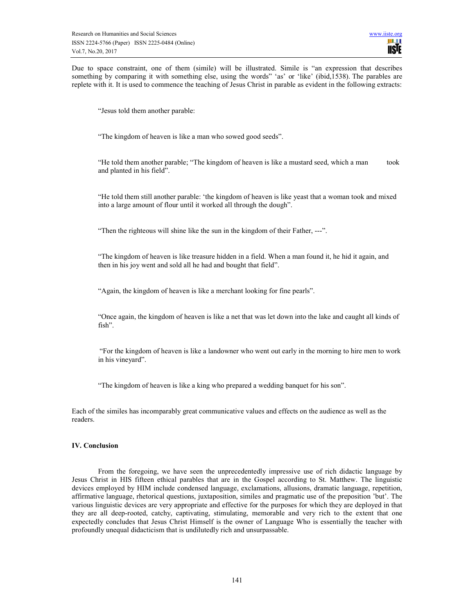Due to space constraint, one of them (simile) will be illustrated. Simile is "an expression that describes something by comparing it with something else, using the words" 'as' or 'like' (ibid,1538). The parables are replete with it. It is used to commence the teaching of Jesus Christ in parable as evident in the following extracts:

"Jesus told them another parable:

"The kingdom of heaven is like a man who sowed good seeds".

"He told them another parable; "The kingdom of heaven is like a mustard seed, which a man took and planted in his field".

"He told them still another parable: 'the kingdom of heaven is like yeast that a woman took and mixed into a large amount of flour until it worked all through the dough".

"Then the righteous will shine like the sun in the kingdom of their Father, ---".

"The kingdom of heaven is like treasure hidden in a field. When a man found it, he hid it again, and then in his joy went and sold all he had and bought that field".

"Again, the kingdom of heaven is like a merchant looking for fine pearls".

"Once again, the kingdom of heaven is like a net that was let down into the lake and caught all kinds of fish".

"For the kingdom of heaven is like a landowner who went out early in the morning to hire men to work in his vineyard".

"The kingdom of heaven is like a king who prepared a wedding banquet for his son".

Each of the similes has incomparably great communicative values and effects on the audience as well as the readers.

#### IV. Conclusion

From the foregoing, we have seen the unprecedentedly impressive use of rich didactic language by Jesus Christ in HIS fifteen ethical parables that are in the Gospel according to St. Matthew. The linguistic devices employed by HIM include condensed language, exclamations, allusions, dramatic language, repetition, affirmative language, rhetorical questions, juxtaposition, similes and pragmatic use of the preposition 'but'. The various linguistic devices are very appropriate and effective for the purposes for which they are deployed in that they are all deep-rooted, catchy, captivating, stimulating, memorable and very rich to the extent that one expectedly concludes that Jesus Christ Himself is the owner of Language Who is essentially the teacher with profoundly unequal didacticism that is undilutedly rich and unsurpassable.